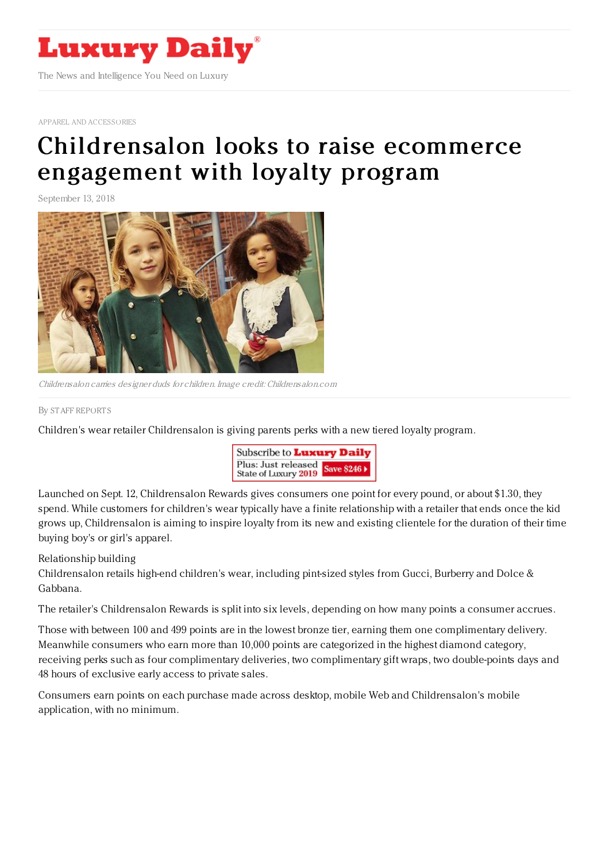

APPAREL AND [ACCESSORIES](https://www.luxurydaily.com/category/sectors/apparel-and-accessories/)

## [Childrensalon](https://www.luxurydaily.com/childrensalon-looks-to-raise-ecommerce-engagement-with-loyalty-program/) looks to raise ecommerce engagement with loyalty program

September 13, 2018



Childrensalon carries designer duds for children. Image credit: Childrensalon.com

By STAFF [REPORT](file:///author/staff-reports) S

Children's wear retailer Childrensalon is giving parents perks with a new tiered loyalty program.



Launched on Sept. 12, Childrensalon Rewards gives consumers one point for every pound, or about \$1.30, they spend. While customers for children's wear typically have a finite relationship with a retailer that ends once the kid grows up, Childrensalon is aiming to inspire loyalty from its new and existing clientele for the duration of their time buying boy's or girl's apparel.

## Relationship building

Childrensalon retails high-end children's wear, including pint-sized styles from Gucci, Burberry and Dolce & Gabbana.

The retailer's Childrensalon Rewards is split into six levels, depending on how many points a consumer accrues.

Those with between 100 and 499 points are in the lowest bronze tier, earning them one complimentary delivery. Meanwhile consumers who earn more than 10,000 points are categorized in the highest diamond category, receiving perks such as four complimentary deliveries, two complimentary gift wraps, two double-points days and 48 hours of exclusive early access to private sales.

Consumers earn points on each purchase made across desktop, mobile Web and Childrensalon's mobile application, with no minimum.